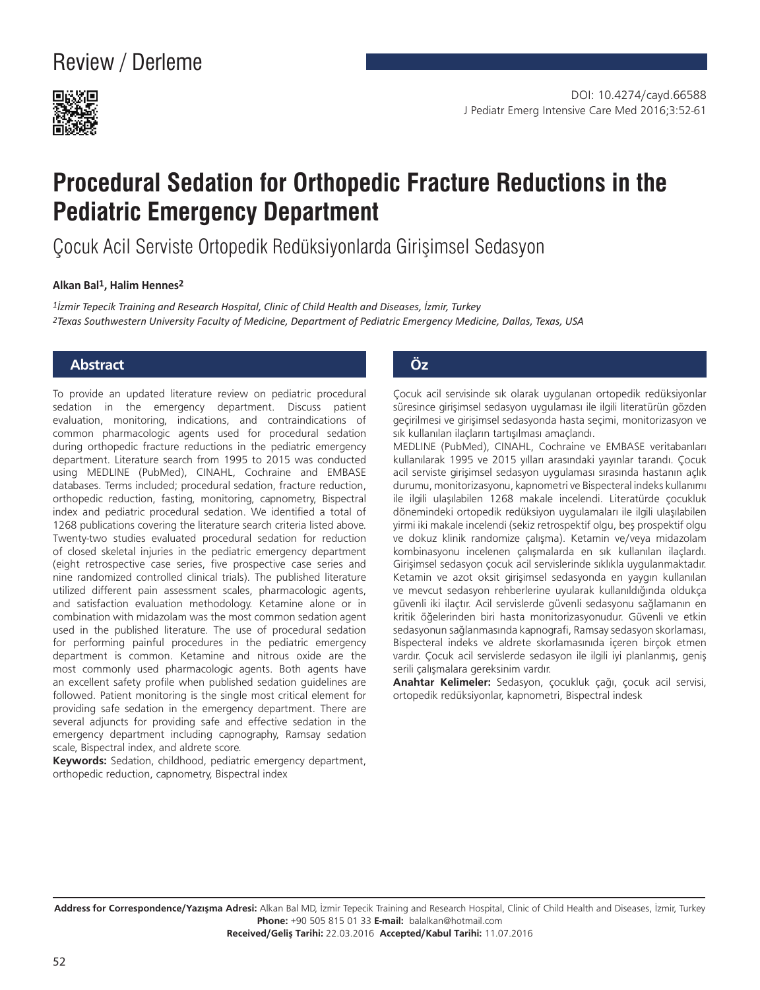

# **Procedural Sedation for Orthopedic Fracture Reductions in the Pediatric Emergency Department**

Çocuk Acil Serviste Ortopedik Redüksiyonlarda Girişimsel Sedasyon

#### **Alkan Bal1, Halim Hennes2**

*1İzmir Tepecik Training and Research Hospital, Clinic of Child Health and Diseases, İzmir, Turkey 2Texas Southwestern University Faculty of Medicine, Department of Pediatric Emergency Medicine, Dallas, Texas, USA*

#### **Abstract Öz**

To provide an updated literature review on pediatric procedural sedation in the emergency department. Discuss patient evaluation, monitoring, indications, and contraindications of common pharmacologic agents used for procedural sedation during orthopedic fracture reductions in the pediatric emergency department. Literature search from 1995 to 2015 was conducted using MEDLINE (PubMed), CINAHL, Cochraine and EMBASE databases. Terms included; procedural sedation, fracture reduction, orthopedic reduction, fasting, monitoring, capnometry, Bispectral index and pediatric procedural sedation. We identified a total of 1268 publications covering the literature search criteria listed above. Twenty-two studies evaluated procedural sedation for reduction of closed skeletal injuries in the pediatric emergency department (eight retrospective case series, five prospective case series and nine randomized controlled clinical trials). The published literature utilized different pain assessment scales, pharmacologic agents, and satisfaction evaluation methodology. Ketamine alone or in combination with midazolam was the most common sedation agent used in the published literature. The use of procedural sedation for performing painful procedures in the pediatric emergency department is common. Ketamine and nitrous oxide are the most commonly used pharmacologic agents. Both agents have an excellent safety profile when published sedation guidelines are followed. Patient monitoring is the single most critical element for providing safe sedation in the emergency department. There are several adjuncts for providing safe and effective sedation in the emergency department including capnography, Ramsay sedation scale, Bispectral index, and aldrete score.

**Keywords:** Sedation, childhood, pediatric emergency department, orthopedic reduction, capnometry, Bispectral index

Çocuk acil servisinde sık olarak uygulanan ortopedik redüksiyonlar süresince girişimsel sedasyon uygulaması ile ilgili literatürün gözden geçirilmesi ve girişimsel sedasyonda hasta seçimi, monitorizasyon ve sık kullanılan ilaçların tartışılması amaçlandı.

MEDLINE (PubMed), CINAHL, Cochraine ve EMBASE veritabanları kullanılarak 1995 ve 2015 yılları arasındaki yayınlar tarandı. Çocuk acil serviste girişimsel sedasyon uygulaması sırasında hastanın açlık durumu, monitorizasyonu, kapnometri ve Bispecteral indeks kullanımı ile ilgili ulaşılabilen 1268 makale incelendi. Literatürde çocukluk dönemindeki ortopedik redüksiyon uygulamaları ile ilgili ulaşılabilen yirmi iki makale incelendi (sekiz retrospektif olgu, beş prospektif olgu ve dokuz klinik randomize çalışma). Ketamin ve/veya midazolam kombinasyonu incelenen çalışmalarda en sık kullanılan ilaçlardı. Girişimsel sedasyon çocuk acil servislerinde sıklıkla uygulanmaktadır. Ketamin ve azot oksit girişimsel sedasyonda en yaygın kullanılan ve mevcut sedasyon rehberlerine uyularak kullanıldığında oldukça güvenli iki ilaçtır. Acil servislerde güvenli sedasyonu sağlamanın en kritik öğelerinden biri hasta monitorizasyonudur. Güvenli ve etkin sedasyonun sağlanmasında kapnografi, Ramsay sedasyon skorlaması, Bispecteral indeks ve aldrete skorlamasınıda içeren birçok etmen vardır. Çocuk acil servislerde sedasyon ile ilgili iyi planlanmış, geniş serili çalışmalara gereksinim vardır.

**Anahtar Kelimeler:** Sedasyon, çocukluk çağı, çocuk acil servisi, ortopedik redüksiyonlar, kapnometri, Bispectral indesk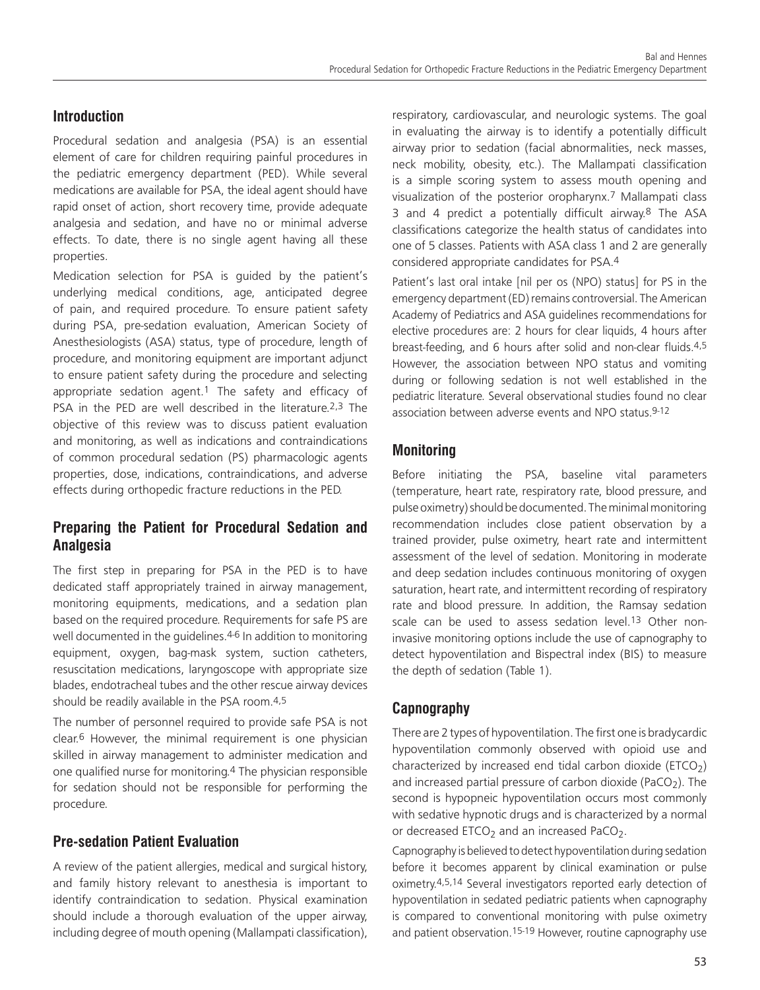# **Introduction**

Procedural sedation and analgesia (PSA) is an essential element of care for children requiring painful procedures in the pediatric emergency department (PED). While several medications are available for PSA, the ideal agent should have rapid onset of action, short recovery time, provide adequate analgesia and sedation, and have no or minimal adverse effects. To date, there is no single agent having all these properties.

Medication selection for PSA is guided by the patient's underlying medical conditions, age, anticipated degree of pain, and required procedure. To ensure patient safety during PSA, pre-sedation evaluation, American Society of Anesthesiologists (ASA) status, type of procedure, length of procedure, and monitoring equipment are important adjunct to ensure patient safety during the procedure and selecting appropriate sedation agent.1 The safety and efficacy of PSA in the PED are well described in the literature.<sup>2,3</sup> The objective of this review was to discuss patient evaluation and monitoring, as well as indications and contraindications of common procedural sedation (PS) pharmacologic agents properties, dose, indications, contraindications, and adverse effects during orthopedic fracture reductions in the PED.

# **Preparing the Patient for Procedural Sedation and Analgesia**

The first step in preparing for PSA in the PED is to have dedicated staff appropriately trained in airway management, monitoring equipments, medications, and a sedation plan based on the required procedure. Requirements for safe PS are well documented in the quidelines.<sup>4-6</sup> In addition to monitoring equipment, oxygen, bag-mask system, suction catheters, resuscitation medications, laryngoscope with appropriate size blades, endotracheal tubes and the other rescue airway devices should be readily available in the PSA room.4,5

The number of personnel required to provide safe PSA is not clear.6 However, the minimal requirement is one physician skilled in airway management to administer medication and one qualified nurse for monitoring.4 The physician responsible for sedation should not be responsible for performing the procedure.

# **Pre-sedation Patient Evaluation**

A review of the patient allergies, medical and surgical history, and family history relevant to anesthesia is important to identify contraindication to sedation. Physical examination should include a thorough evaluation of the upper airway, including degree of mouth opening (Mallampati classification),

respiratory, cardiovascular, and neurologic systems. The goal in evaluating the airway is to identify a potentially difficult airway prior to sedation (facial abnormalities, neck masses, neck mobility, obesity, etc.). The Mallampati classification is a simple scoring system to assess mouth opening and visualization of the posterior oropharynx.7 Mallampati class 3 and 4 predict a potentially difficult airway.8 The ASA classifications categorize the health status of candidates into one of 5 classes. Patients with ASA class 1 and 2 are generally considered appropriate candidates for PSA.4

Patient's last oral intake [nil per os (NPO) status] for PS in the emergency department (ED) remains controversial. The American Academy of Pediatrics and ASA guidelines recommendations for elective procedures are: 2 hours for clear liquids, 4 hours after breast-feeding, and 6 hours after solid and non-clear fluids.4,5 However, the association between NPO status and vomiting during or following sedation is not well established in the pediatric literature. Several observational studies found no clear association between adverse events and NPO status.9-12

# **Monitoring**

Before initiating the PSA, baseline vital parameters (temperature, heart rate, respiratory rate, blood pressure, and pulse oximetry) should be documented. The minimal monitoring recommendation includes close patient observation by a trained provider, pulse oximetry, heart rate and intermittent assessment of the level of sedation. Monitoring in moderate and deep sedation includes continuous monitoring of oxygen saturation, heart rate, and intermittent recording of respiratory rate and blood pressure. In addition, the Ramsay sedation scale can be used to assess sedation level.<sup>13</sup> Other noninvasive monitoring options include the use of capnography to detect hypoventilation and Bispectral index (BIS) to measure the depth of sedation (Table 1).

# **Capnography**

There are 2 types of hypoventilation. The first one is bradycardic hypoventilation commonly observed with opioid use and characterized by increased end tidal carbon dioxide (ETCO<sub>2</sub>) and increased partial pressure of carbon dioxide (PaCO<sub>2</sub>). The second is hypopneic hypoventilation occurs most commonly with sedative hypnotic drugs and is characterized by a normal or decreased ETCO<sub>2</sub> and an increased PaCO<sub>2</sub>.

Capnography is believed to detect hypoventilation during sedation before it becomes apparent by clinical examination or pulse oximetry.4,5,14 Several investigators reported early detection of hypoventilation in sedated pediatric patients when capnography is compared to conventional monitoring with pulse oximetry and patient observation.<sup>15-19</sup> However, routine capnography use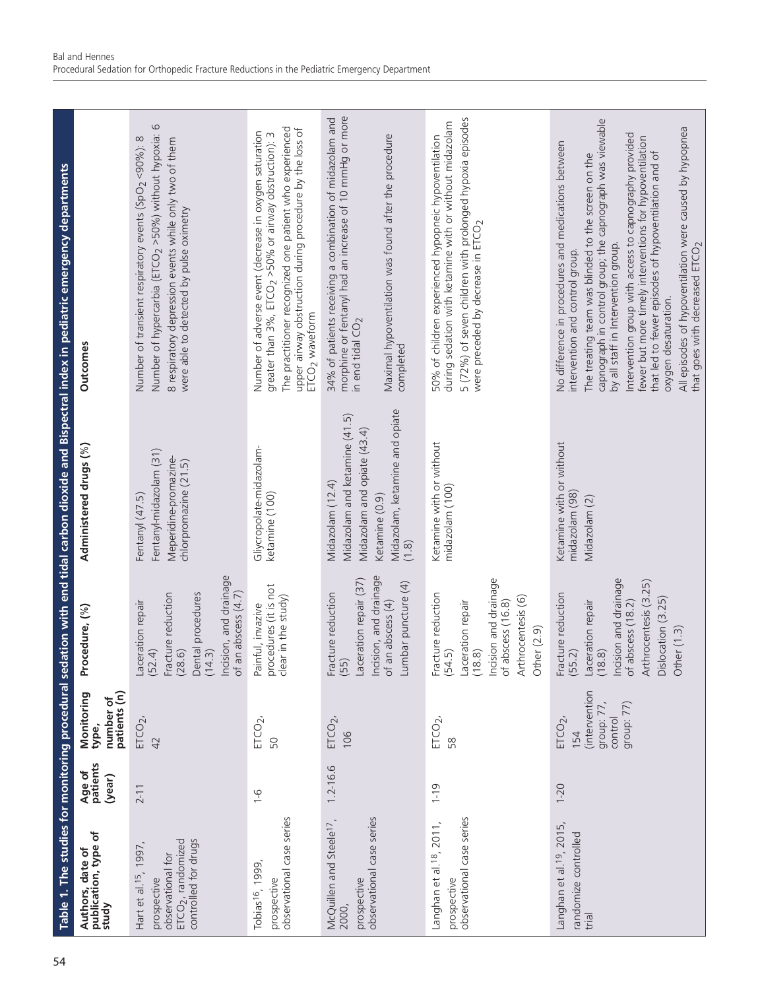|                                                                                                                        |                              |                                                                         |                                                                                                                                                                                    |                                                                                                                                               | Table 1. The studies for monitoring procedural sedation with end tidal carbon dioxide and Bispectral index in pediatric emergency departments                                                                                                                                                                                                                                                                                                                                                                                                                 |
|------------------------------------------------------------------------------------------------------------------------|------------------------------|-------------------------------------------------------------------------|------------------------------------------------------------------------------------------------------------------------------------------------------------------------------------|-----------------------------------------------------------------------------------------------------------------------------------------------|---------------------------------------------------------------------------------------------------------------------------------------------------------------------------------------------------------------------------------------------------------------------------------------------------------------------------------------------------------------------------------------------------------------------------------------------------------------------------------------------------------------------------------------------------------------|
| Authors, date of<br>publication, type of<br>study                                                                      | Age of<br>patients<br>(year) | number of<br>patients (n)<br>Monitoring<br>type,                        | ocedure, (%)<br>՟                                                                                                                                                                  | Administered drugs (%)                                                                                                                        | <b>Outcomes</b>                                                                                                                                                                                                                                                                                                                                                                                                                                                                                                                                               |
| ETCO <sub>2</sub> , randomized<br>controlled for drugs<br>1997,<br>observational for<br>Hart et al. 15,<br>prospective | $2 - 11$                     | $ETCO2$ ,<br>42                                                         | Incision, and drainage<br>an abscess (4.7)<br>Dental procedures<br>(14.3)<br>Fracture reduction<br>Laceration repair<br>(52.4)<br>(28.6)<br>$\sigma$                               | Fentanyl-midazolam (31)<br>Meperidine-promazine-<br>chlorpromazine (21.5)<br>Fentanyl (47.5)                                                  | $\circ$<br>Number of hypercarbia (ETCO <sub>2</sub> >50%) without hypoxia:<br>Number of transient respiratory events (SpO <sub>2</sub> <90%): 8<br>8 respiratory depression events while only two of them<br>were able to detected by pulse oximetry                                                                                                                                                                                                                                                                                                          |
| observational case series<br>Tobias <sup>16</sup> , 1999<br>prospective                                                | $\frac{9}{1}$                | $ETCO2$ ,<br>50                                                         | procedures (it is not<br>clear in the study)<br>Painful, invazive                                                                                                                  | Gliycropolate-midazolam-<br>ketamine (100)                                                                                                    | The practitioner recognized one patient who experienced<br>upper airway obstruction during procedure by the loss of<br>Number of adverse event (decrease in oxygen saturation<br>greater than 3%, ETCO <sub>2</sub> >50% or airway obstruction): 3<br>ETCO <sub>2</sub> waveform                                                                                                                                                                                                                                                                              |
| observational case series<br>McQuillen and Steele <sup>17</sup> ,<br>prospective<br>2000,                              | $1.2 - 16.6$                 | $ETCO2$ ,<br>106                                                        | Incision, and drainage<br>Laceration repair (37)<br>Lumbar puncture (4)<br>Fracture reduction<br>(55)<br>of an abscess (4)                                                         | Midazolam, ketamine and opiate<br>Midazolam and ketamine (41.5)<br>Midazolam and opiate (43.4)<br>Midazolam (12.4)<br>Ketamine (0.9)<br>(1.8) | 34% of patients receiving a combination of midazolam and<br>morphine or fentanyl had an increase of 10 mmHg or more<br>Maximal hypoventilation was found after the procedure<br>in end tidal $CO2$<br>completed                                                                                                                                                                                                                                                                                                                                               |
| observational case series<br>Langhan et al. <sup>18</sup> , 2011,<br>prospective                                       | $1 - 19$                     | $ETCO2$ ,<br>58                                                         | Incision and drainage<br>Fracture reduction<br>(54.5)<br>Arthrocentesis (6)<br>abscess (16.8)<br>Laceration repair<br>Other $(2.9)$<br>(18.8)<br>$\sigma$                          | Ketamine with or without<br>midazolam (100)                                                                                                   | 5 (72%) of seven children with prolonged hypoxia episodes<br>during sedation with ketamine with or without midazolam<br>50% of children experienced hypopneic hypoventilation<br>were preceded by decrease in ETCO <sub>2</sub>                                                                                                                                                                                                                                                                                                                               |
| Langhan et al. <sup>19</sup> , 2015,<br>randomize controlled<br>trial                                                  | $1 - 20$                     | (intervention<br>group: 77)<br>group: 77<br>control<br>$ETCO2$ ,<br>154 | Incision and drainage<br>Arthrocentesis (3.25)<br>Fracture reduction<br>(55.2)<br>Dislocation (3.25)<br>abscess (18.2)<br>Laceration repair<br>(18.8)<br>Other $(1.3)$<br>$\sigma$ | Ketamine with or without<br>midazolam (98)<br>Midazolam (2)                                                                                   | capnograph in control group; the capnograph was viewable<br>All episodes of hypoventilation were caused by hypopnea<br>Intervention group with access to capnography provided<br>fewer but more timely interventions for hypoventilation<br>No difference in procedures and medications between<br>that led to fewer episodes of hypoventilation and of<br>The treating team was blinded to the screen on the<br>that goes with decreased ETCO <sub>2</sub><br>by all staff in Intervention group.<br>intervention and control group.<br>oxygen desaturation. |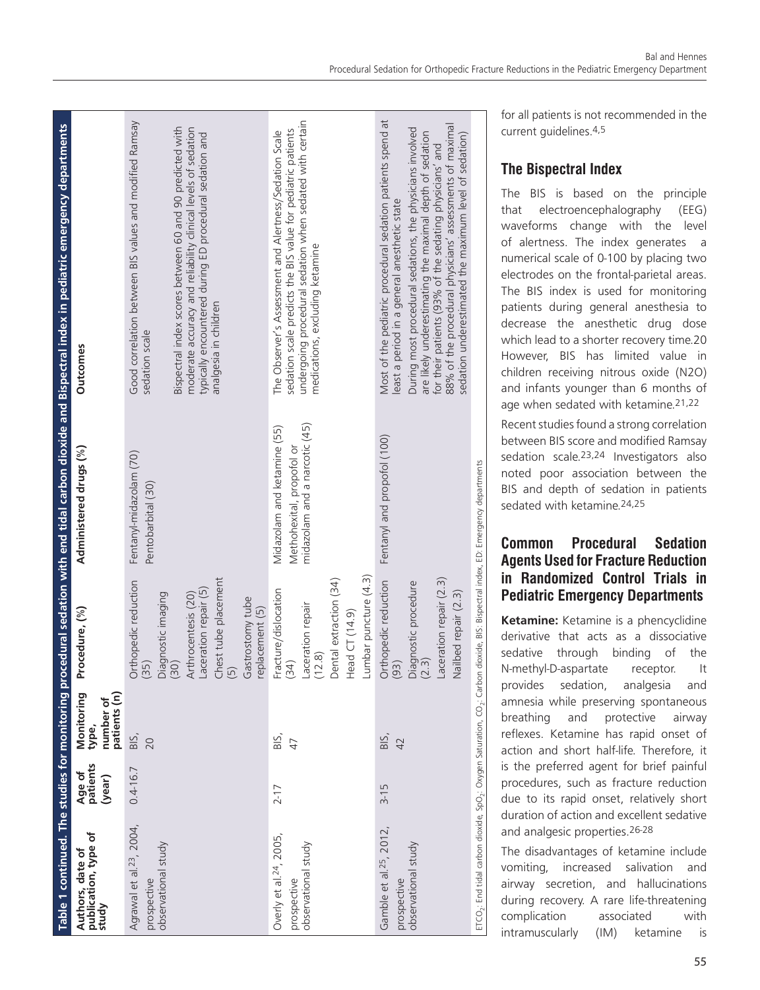|                                                                                                                                                                       |                              |                                                  |                                                                                                                                                                                                                |                                                                                           | Table 1 continued. The studies for monitoring procedural sedation with end tidal carbon dioxide and Bispectral index in pediatric emergency departments                                                                                                                                                                                                                                                               |
|-----------------------------------------------------------------------------------------------------------------------------------------------------------------------|------------------------------|--------------------------------------------------|----------------------------------------------------------------------------------------------------------------------------------------------------------------------------------------------------------------|-------------------------------------------------------------------------------------------|-----------------------------------------------------------------------------------------------------------------------------------------------------------------------------------------------------------------------------------------------------------------------------------------------------------------------------------------------------------------------------------------------------------------------|
| publication, type of<br>Authors, date of<br>study                                                                                                                     | Age of<br>patients<br>(year) | patients (n)<br>Monitoring<br>number of<br>type, | Procedure, (%)                                                                                                                                                                                                 | Administered drugs (%)                                                                    | <b>Outcomes</b>                                                                                                                                                                                                                                                                                                                                                                                                       |
| Agrawal et al. <sup>23</sup> , 2004,<br>observational study<br>prospective                                                                                            | $0.4 - 16.7$                 | BIS,<br>20                                       | Chest tube placement<br>Orthopedic reduction<br>(35)<br>Laceration repair (5)<br>Diagnostic imaging<br>Arthrocentesis (20)<br>Gastrostomy tube<br>replacement (5)<br>$\sqrt{3}$<br>$\left(\overline{5}\right)$ | Fentanyl-midazolam (70)<br>Pentobarbital (30)                                             | Good correlation between BIS values and modified Ramsay<br>Bispectral index scores between 60 and 90 predicted with<br>moderate accuracy and reliability clinical levels of sedation<br>typically encountered during ED procedural sedation and<br>analgesia in children<br>sedation scale                                                                                                                            |
| Overly et al. <sup>24</sup> , 2005,<br>observational study<br>prospective                                                                                             | $2 - 17$                     | BIS,<br>47                                       | Lumbar puncture (4.3)<br>Dental extraction (34)<br>Fracture/dislocation<br>Laceration repair<br>Head CT (14.9)<br>(12.8)<br>$\overline{34}$                                                                    | midazolam and a narcotic (45)<br>Midazolam and ketamine (55)<br>Methohexital, propofol or | undergoing procedural sedation when sedated with certain<br>sedation scale predicts the BIS value for pediatric patients<br>The Observer's Assessment and Alertness/Sedation Scale<br>medications, excluding ketamine                                                                                                                                                                                                 |
| Gamble et al. <sup>25</sup> , 2012,<br>observational study<br>prospective                                                                                             | $3 - 15$                     | BIS,<br>42                                       | Laceration repair (2.3)<br>Orthopedic reduction<br>Diagnostic procedure<br>(2.3)<br>Nailbed repair (2.3)<br>(93)                                                                                               | Fentanyl and propofol (100)                                                               | Most of the pediatric procedural sedation patients spend at<br>88% of the procedural physicians' assessments of maximal<br>During most procedural sedations, the physicians involved<br>are likely underestimating the maximal depth of sedation<br>sedation underestimated the maximum level of sedation)<br>for their patients (93% of the sedating physicians' and<br>least a period in a general anesthetic state |
| $\mathsf{ETO}_2$ : End tidal carbon dioxide, SpO <sub>2</sub> : Oxygen Saturation, CO <sub>2</sub> : Carbon dioxide, BIS: Bispectral index, ED: Emergency departments |                              |                                                  |                                                                                                                                                                                                                |                                                                                           |                                                                                                                                                                                                                                                                                                                                                                                                                       |

for all patients is not recommended in the current guidelines.4,5

#### **The Bispectral Index**

The BIS is based on the principle that electroencephalography (EEG) waveforms change with the level of alertness. The index generates a numerical scale of 0-100 by placing two electrodes on the frontal-parietal areas. The BIS index is used for monitoring patients during general anesthesia to decrease the anesthetic drug dose which lead to a shorter recovery time.20 However, BIS has limited value in children receiving nitrous oxide (N2O) and infants younger than 6 months of age when sedated with ketamine.21,22

Recent studies found a strong correlation between BIS score and modified Ramsay sedation scale.23,24 Investigators also noted poor association between the BIS and depth of sedation in patients sedated with ketamine.24,25

# **Common Procedural Sedation Agents Used for Fracture Reduction in Randomized Control Trials in Pediatric Emergency Departments**

**Ketamine:** Ketamine is a phencyclidine derivative that acts as a dissociative sedative through binding of the N-methyl-D-aspartate receptor. It provides sedation, analgesia and amnesia while preserving spontaneous breathing and protective airway reflexes. Ketamine has rapid onset of action and short half-life. Therefore, it is the preferred agent for brief painful procedures, such as fracture reduction due to its rapid onset, relatively short duration of action and excellent sedative and analgesic properties.26-28

The disadvantages of ketamine include vomiting, increased salivation and airway secretion, and hallucinations during recovery. A rare life-threatening complication associated with intramuscularly (IM) ketamine is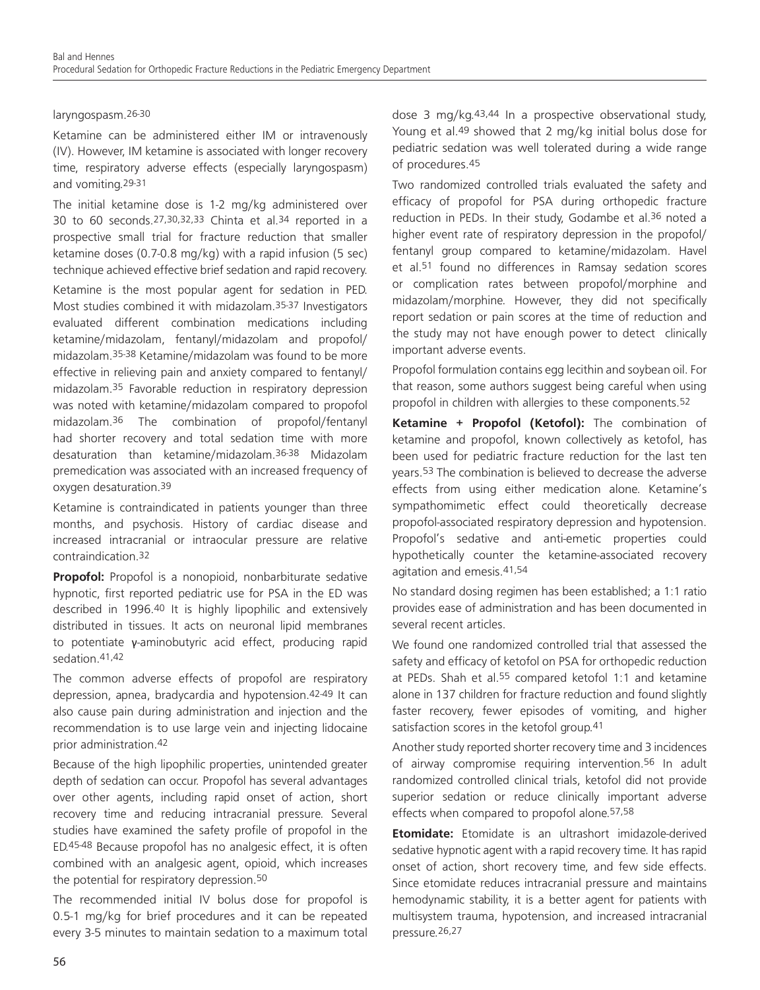#### laryngospasm.26-30

Ketamine can be administered either IM or intravenously (IV). However, IM ketamine is associated with longer recovery time, respiratory adverse effects (especially laryngospasm) and vomiting.29-31

The initial ketamine dose is 1-2 mg/kg administered over 30 to 60 seconds.27,30,32,33 Chinta et al.34 reported in a prospective small trial for fracture reduction that smaller ketamine doses (0.7-0.8 mg/kg) with a rapid infusion (5 sec) technique achieved effective brief sedation and rapid recovery.

Ketamine is the most popular agent for sedation in PED. Most studies combined it with midazolam.35-37 Investigators evaluated different combination medications including ketamine/midazolam, fentanyl/midazolam and propofol/ midazolam.35-38 Ketamine/midazolam was found to be more effective in relieving pain and anxiety compared to fentanyl/ midazolam.35 Favorable reduction in respiratory depression was noted with ketamine/midazolam compared to propofol midazolam.36 The combination of propofol/fentanyl had shorter recovery and total sedation time with more desaturation than ketamine/midazolam.36-38 Midazolam premedication was associated with an increased frequency of oxygen desaturation.39

Ketamine is contraindicated in patients younger than three months, and psychosis. History of cardiac disease and increased intracranial or intraocular pressure are relative contraindication.32

**Propofol:** Propofol is a nonopioid, nonbarbiturate sedative hypnotic, first reported pediatric use for PSA in the ED was described in 1996.40 It is highly lipophilic and extensively distributed in tissues. It acts on neuronal lipid membranes to potentiate γ-aminobutyric acid effect, producing rapid sedation.41,42

The common adverse effects of propofol are respiratory depression, apnea, bradycardia and hypotension.42-49 It can also cause pain during administration and injection and the recommendation is to use large vein and injecting lidocaine prior administration.42

Because of the high lipophilic properties, unintended greater depth of sedation can occur. Propofol has several advantages over other agents, including rapid onset of action, short recovery time and reducing intracranial pressure. Several studies have examined the safety profile of propofol in the ED.45-48 Because propofol has no analgesic effect, it is often combined with an analgesic agent, opioid, which increases the potential for respiratory depression.50

The recommended initial IV bolus dose for propofol is 0.5-1 mg/kg for brief procedures and it can be repeated every 3-5 minutes to maintain sedation to a maximum total dose 3 mg/kg.43,44 In a prospective observational study, Young et al.<sup>49</sup> showed that 2 mg/kg initial bolus dose for pediatric sedation was well tolerated during a wide range of procedures.45

Two randomized controlled trials evaluated the safety and efficacy of propofol for PSA during orthopedic fracture reduction in PEDs. In their study, Godambe et al.<sup>36</sup> noted a higher event rate of respiratory depression in the propofol/ fentanyl group compared to ketamine/midazolam. Havel et al.51 found no differences in Ramsay sedation scores or complication rates between propofol/morphine and midazolam/morphine. However, they did not specifically report sedation or pain scores at the time of reduction and the study may not have enough power to detect clinically important adverse events.

Propofol formulation contains egg lecithin and soybean oil. For that reason, some authors suggest being careful when using propofol in children with allergies to these components.52

**Ketamine + Propofol (Ketofol):** The combination of ketamine and propofol, known collectively as ketofol, has been used for pediatric fracture reduction for the last ten years.53 The combination is believed to decrease the adverse effects from using either medication alone. Ketamine's sympathomimetic effect could theoretically decrease propofol-associated respiratory depression and hypotension. Propofol's sedative and anti-emetic properties could hypothetically counter the ketamine-associated recovery agitation and emesis.41,54

No standard dosing regimen has been established; a 1:1 ratio provides ease of administration and has been documented in several recent articles.

We found one randomized controlled trial that assessed the safety and efficacy of ketofol on PSA for orthopedic reduction at PEDs. Shah et al.55 compared ketofol 1:1 and ketamine alone in 137 children for fracture reduction and found slightly faster recovery, fewer episodes of vomiting, and higher satisfaction scores in the ketofol group.<sup>41</sup>

Another study reported shorter recovery time and 3 incidences of airway compromise requiring intervention.<sup>56</sup> In adult randomized controlled clinical trials, ketofol did not provide superior sedation or reduce clinically important adverse effects when compared to propofol alone.57,58

**Etomidate:** Etomidate is an ultrashort imidazole-derived sedative hypnotic agent with a rapid recovery time. It has rapid onset of action, short recovery time, and few side effects. Since etomidate reduces intracranial pressure and maintains hemodynamic stability, it is a better agent for patients with multisystem trauma, hypotension, and increased intracranial pressure.26,27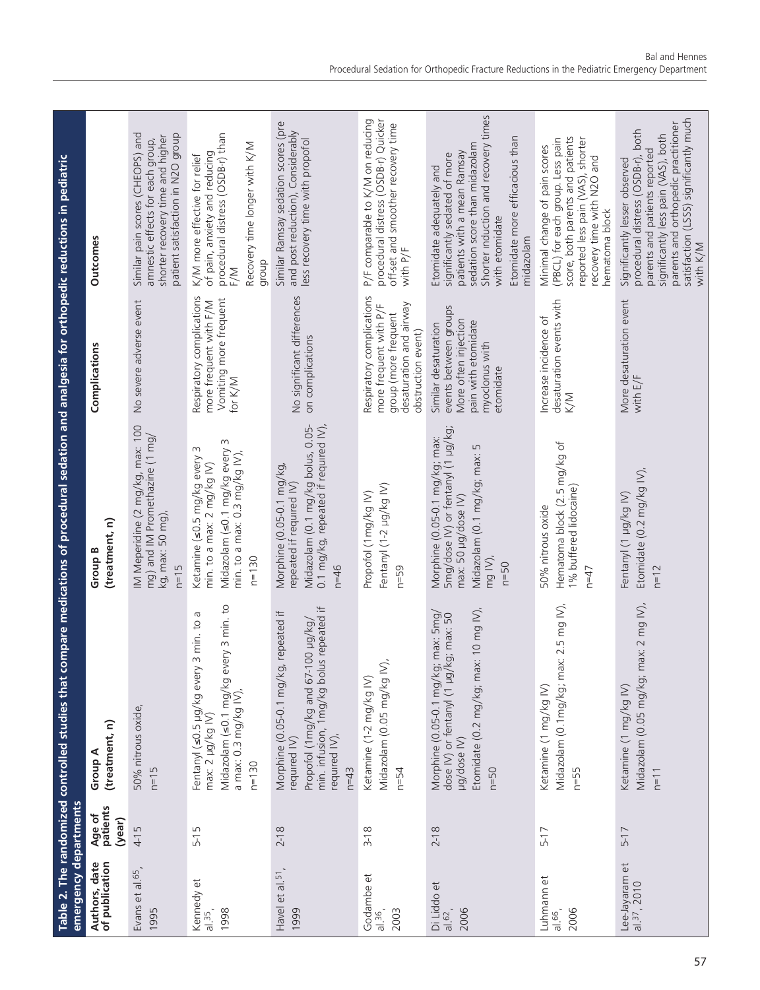| emergency departments                      |                              | Table 2. The randomized controlled studies that co                                                                                                                          | mpare medications of procedural sedation and analgesia for orthopedic reductions in pediatric                                                        |                                                                                                                              |                                                                                                                                                                                                                                          |
|--------------------------------------------|------------------------------|-----------------------------------------------------------------------------------------------------------------------------------------------------------------------------|------------------------------------------------------------------------------------------------------------------------------------------------------|------------------------------------------------------------------------------------------------------------------------------|------------------------------------------------------------------------------------------------------------------------------------------------------------------------------------------------------------------------------------------|
| Authors, date<br>of publication            | Age of<br>patients<br>(year) | (treatment, n)<br>Group A                                                                                                                                                   | (treatment, n)<br>Group B                                                                                                                            | Complications                                                                                                                | <b>Outcomes</b>                                                                                                                                                                                                                          |
| Evans et al. 65<br>1995                    | 4-15                         | 50% nitrous oxide,<br>$n=15$                                                                                                                                                | IM Meperidine (2 mg/kg, max: 100<br>mg) and IM Promethazine (1 mg/<br>kg, max: 50 mg),<br>$n=15$                                                     | No severe adverse event                                                                                                      | Similar pain scores (CHEOPS) and<br>patient satisfaction in N2O group<br>shorter recovery time and higher<br>amnestic effects for each group,                                                                                            |
| Kennedy et<br>1998<br>al.35,               | Б<br>$5-1$                   | Midazolam (s0.1 mg/kg every 3 min. to<br>Б<br>3 min. to<br>Fentanyl (s0.5 µg/kg every<br>a max: 0.3 mg/kg IV)<br>max: 2 µg/kg IV)<br>$n = 130$                              | Midazolam (s0.1 mg/kg every 3<br>Ketamine (s0.5 mg/kg every 3<br>min. to a max: $0.3 \text{ mg/kg}$ IV).<br>min. to a max: 2 mg/kg IV)<br>$n = 130$  | Respiratory complications<br>Vomiting more frequent<br>more frequent with F/M<br>for K/M                                     | procedural distress (OSDB-r) than<br>Recovery time longer with K/M<br>of pain, anxiety and reducing<br>K/M more effective for relief<br>dhoub<br>F/M                                                                                     |
| Havel et al. <sup>51</sup><br>1999         | $2 - 18$                     | min. infusion, 1mg/kg bolus repeated if<br>repeated if<br>Propofol (1mg/kg and 67-100 $\mu$ g/kg/<br>Morphine (0.05-0.1 mg/kg,<br>required IV),<br>required IV)<br>$n = 43$ | Midazolam (0.1 mg/kg bolus, 0.05-<br>0.1 mg/kg, repeated if required IV),<br>Morphine (0.05-0.1 mg/kg,<br>repeated if required IV)<br>$n = 46$       | No significant differences<br>on complications                                                                               | Similar Ramsay sedation scores (pre<br>and post reduction), Considerably<br>less recovery time with propofol                                                                                                                             |
| Godambe et<br>2003<br>al.36                | $3 - 18$                     | Midazolam (0.05 mg/kg IV).<br>Ketamine (1-2 mg/kg IV)<br>$n=54$                                                                                                             | Fentanyl (1-2 µg/kg IV)<br>Propofol (1mg/kg IV)<br>$n=59$                                                                                            | Respiratory complications<br>desaturation and airway<br>more frequent with P/F<br>group (more frequent<br>obstruction event) | procedural distress (OSDB-r) Quicker<br>P/F comparable to K/M on reducing<br>off-set and smoother recovery time<br>with $P/F$                                                                                                            |
| Di Liddo et<br>2006<br>al.62               | $2 - 18$                     | Etomidate $(0.2 \text{ mg/kg}; \text{max: 10 mg IV})$<br>max: 5mg/<br>dose IV) or fentanyl (1 µg/kg; max: 50<br>Morphine (0.05-0.1 mg/kg;<br>µg/dose IV)<br>$n=50$          | 5mg/dose IV) or fentanyl (1 µg/kg;<br>Morphine (0.05-0.1 mg/kg; max:<br>LN<br>Midazolam (0.1 mg/kg; max:<br>max: 50 µg/dose IV)<br>mg IV),<br>$n=50$ | events between groups<br>More often injection<br>pain with etomidate<br>Similar desaturation<br>myoclonus with<br>etomidate  | Shorter induction and recovery times<br>Etomidate more efficacious than<br>sedation score than midazolam<br>patients with a mean Ramsay<br>significantly sedated of more<br>Etomidate adequately and<br>with etomidate<br>midazolam      |
| Luhmann et<br>2006<br>al.66                | $5 - 17$                     | Midazolam (0.1mg/kg; max: 2.5 mg IV),<br>Ketamine (1 mg/kg IV)<br>$n=55$                                                                                                    | Hematoma block (2.5 mg/kg of<br>1% buffered lidocaine)<br>50% nitrous oxide<br>$n = 47$                                                              | desaturation events with<br>Increase incidence of<br>K/M                                                                     | score, both parents and patients<br>reported less pain (VAS), shorter<br>(PBCL) for each group. Less pain<br>Minimal change of pain scores<br>recovery time with N2O and<br>hematoma block                                               |
| Lee-Jayaram et<br>al. <sup>37</sup> , 2010 | $5 - 17$                     | ax: 2 mg $W$ ),<br>Midazolam (0.05 mg/kg; m<br>Ketamine (1 mg/kg IV)<br>$n=11$                                                                                              | Etomidate (0.2 mg/kg $N$ ),<br>Fentanyl (1 µg/kg IV)<br>$n = 12$                                                                                     | More desaturation event<br>with $E/F$                                                                                        | satisfaction (LSSS) significantly much<br>parents and orthopedic practitioner<br>procedural distress (OSDB-r), both<br>significantly less pain (VAS), both<br>parents and patients reported<br>Significantly lesser observed<br>with K/M |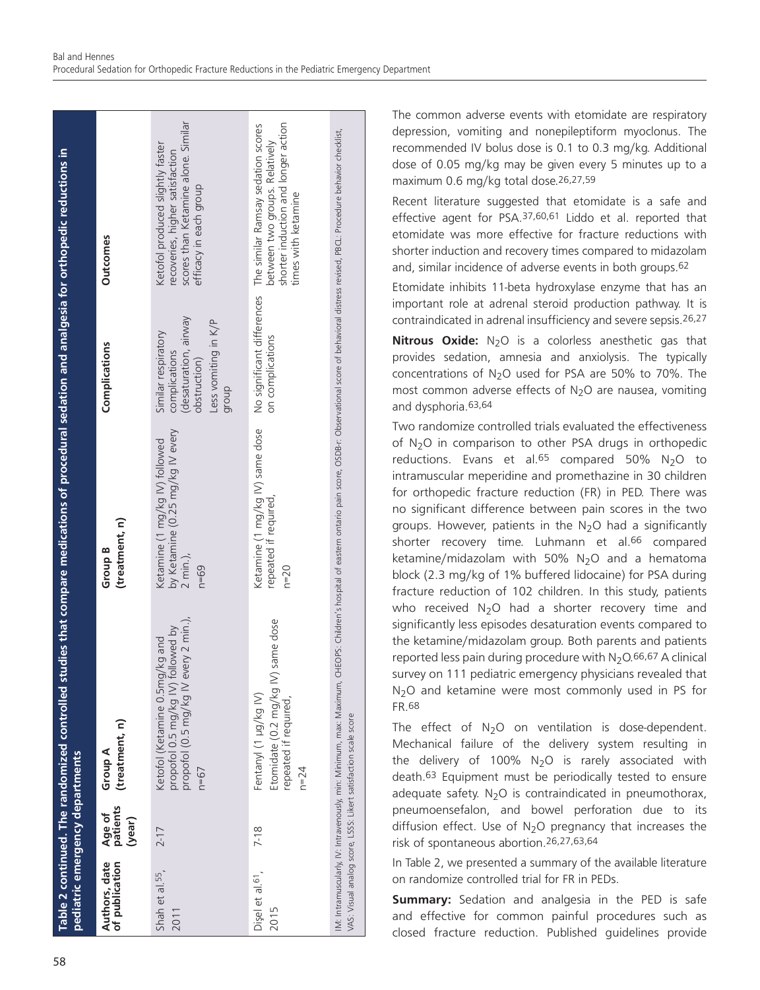| pediatric emergency departments      |                              | Table 2 continued. The randomized controlled studies that compare medications of procedural sedation and analgesia for orthopedic reductions in                                                                                                                                                   |                                                                                              |                                                                                                                |                                                                                                                                                               |
|--------------------------------------|------------------------------|---------------------------------------------------------------------------------------------------------------------------------------------------------------------------------------------------------------------------------------------------------------------------------------------------|----------------------------------------------------------------------------------------------|----------------------------------------------------------------------------------------------------------------|---------------------------------------------------------------------------------------------------------------------------------------------------------------|
| of publication<br>Authors, date      | Age of<br>patients<br>(year) | (treatment, n)<br>Group A                                                                                                                                                                                                                                                                         | (treatment, n)<br>Group B                                                                    | Complications                                                                                                  | <b>Outcomes</b>                                                                                                                                               |
| Shah et al. <sup>55</sup> ,<br>2011  | $2 - 17$                     | very 2 min.),<br>propofol 0.5 mg/kg IV) followed by<br>Ketofol (Ketamine 0.5mg/kg and<br>propofol (0.5 mg/kg IV ev<br>$n = 67$                                                                                                                                                                    | by Ketamine (0.25 mg/kg IV every<br>Ketamine (1 mg/kg IV) followed<br>$2$ min.),<br>$n = 69$ | desaturation, airway)<br>Less vomiting in K/P<br>Similar respiratory<br>complications<br>obstruction)<br>dionb | scores than Ketamine alone. Similar<br>Ketofol produced slightly faster<br>recoveries, higher satisfaction<br>efficacy in each group                          |
| Disel et al. <sup>61</sup> ,<br>2015 | $7-18$                       | same dose<br>Etomidate (0.2 mg/kg IV)<br>Fentanyl (1 µg/kg IV)<br>repeated if required,<br>$n = 24$                                                                                                                                                                                               | Ketamine (1 mg/kg IV) same dose<br>repeated if required,<br>$n = 20$                         | on complications                                                                                               | shorter induction and longer action<br>No significant differences The similar Ramsay sedation scores<br>between two groups. Relatively<br>times with ketamine |
|                                      |                              | IM: Intramuscularly, IV: Intravenously, min: Minimum, max: Maximum, CHEOPS: Children's hospital of eastern ontario pain score, OSDB-r: Observational score of behavioral distress revised, PBCL: Procedure behavior checklist,<br>VAS: Visual analog score, LSSS: Likert satisfaction scale score |                                                                                              |                                                                                                                |                                                                                                                                                               |

The common adverse events with etomidate are respiratory depression, vomiting and nonepileptiform myoclonus. The recommended IV bolus dose is 0.1 to 0.3 mg/kg. Additional dose of 0.05 mg/kg may be given every 5 minutes up to a maximum 0.6 mg/kg total dose.26,27,59

Recent literature suggested that etomidate is a safe and effective agent for PSA.37,60,61 Liddo et al. reported that etomidate was more effective for fracture reductions with shorter induction and recovery times compared to midazolam and, similar incidence of adverse events in both groups.62

Etomidate inhibits 11-beta hydroxylase enzyme that has an important role at adrenal steroid production pathway. It is contraindicated in adrenal insufficiency and severe sepsis.26,27

**Nitrous Oxide:** N<sub>2</sub>O is a colorless anesthetic gas that provides sedation, amnesia and anxiolysis. The typically concentrations of  $N_2O$  used for PSA are 50% to 70%. The most common adverse effects of  $N<sub>2</sub>O$  are nausea, vomiting and dysphoria.63,64

Two randomize controlled trials evaluated the effectiveness of  $N_2O$  in comparison to other PSA drugs in orthopedic reductions. Evans et al.<sup>65</sup> compared 50%  $N_2O$  to intramuscular meperidine and promethazine in 30 children for orthopedic fracture reduction (FR) in PED. There was no significant difference between pain scores in the two groups. However, patients in the  $N_2O$  had a significantly shorter recovery time. Luhmann et al.66 compared ketamine/midazolam with 50%  $N_2O$  and a hematoma block (2.3 mg/kg of 1% buffered lidocaine) for PSA during fracture reduction of 102 children. In this study, patients who received  $N_2O$  had a shorter recovery time and significantly less episodes desaturation events compared to the ketamine/midazolam group. Both parents and patients reported less pain during procedure with  $N_2O.66,67$  A clinical survey on 111 pediatric emergency physicians revealed that N<sub>2</sub>O and ketamine were most commonly used in PS for FR.68

The effect of  $N_2O$  on ventilation is dose-dependent. Mechanical failure of the delivery system resulting in the delivery of 100%  $N_2O$  is rarely associated with death.63 Equipment must be periodically tested to ensure adequate safety.  $N_2O$  is contraindicated in pneumothorax, pneumoensefalon, and bowel perforation due to its diffusion effect. Use of  $N<sub>2</sub>O$  pregnancy that increases the risk of spontaneous abortion.26,27,63,64

In Table 2, we presented a summary of the available literature on randomize controlled trial for FR in PEDs.

**Summary:** Sedation and analgesia in the PED is safe and effective for common painful procedures such as closed fracture reduction. Published guidelines provide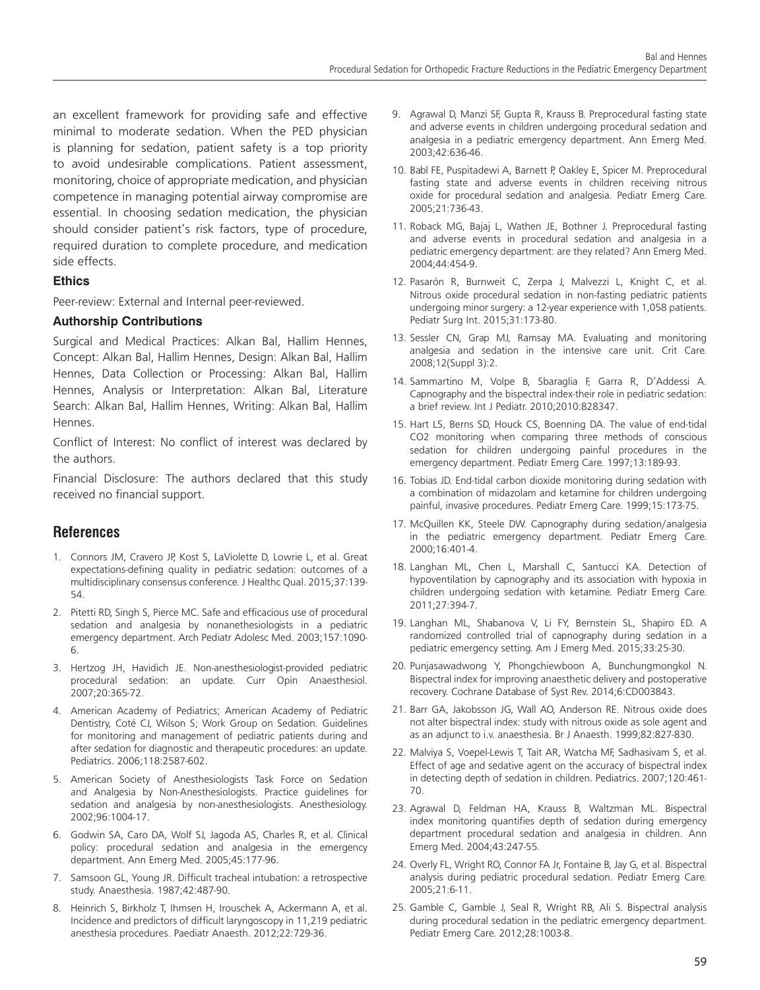an excellent framework for providing safe and effective minimal to moderate sedation. When the PED physician is planning for sedation, patient safety is a top priority to avoid undesirable complications. Patient assessment, monitoring, choice of appropriate medication, and physician competence in managing potential airway compromise are essential. In choosing sedation medication, the physician should consider patient's risk factors, type of procedure, required duration to complete procedure, and medication side effects.

#### **Ethics**

Peer-review: External and Internal peer-reviewed.

#### **Authorship Contributions**

Surgical and Medical Practices: Alkan Bal, Hallim Hennes, Concept: Alkan Bal, Hallim Hennes, Design: Alkan Bal, Hallim Hennes, Data Collection or Processing: Alkan Bal, Hallim Hennes, Analysis or Interpretation: Alkan Bal, Literature Search: Alkan Bal, Hallim Hennes, Writing: Alkan Bal, Hallim Hennes.

Conflict of Interest: No conflict of interest was declared by the authors.

Financial Disclosure: The authors declared that this study received no financial support.

# **References**

- 1. Connors JM, Cravero JP, Kost S, LaViolette D, Lowrie L, et al. Great expectations-defining quality in pediatric sedation: outcomes of a multidisciplinary consensus conference. J Healthc Qual. 2015;37:139- 54.
- 2. Pitetti RD, Singh S, Pierce MC. Safe and efficacious use of procedural sedation and analgesia by nonanethesiologists in a pediatric emergency department. Arch Pediatr Adolesc Med. 2003;157:1090- 6.
- 3. Hertzog JH, Havidich JE. Non-anesthesiologist-provided pediatric procedural sedation: an update. Curr Opin Anaesthesiol. 2007;20:365-72.
- 4. American Academy of Pediatrics; American Academy of Pediatric Dentistry, Coté CJ, Wilson S; Work Group on Sedation. Guidelines for monitoring and management of pediatric patients during and after sedation for diagnostic and therapeutic procedures: an update. Pediatrics. 2006;118:2587-602.
- 5. American Society of Anesthesiologists Task Force on Sedation and Analgesia by Non-Anesthesiologists. Practice guidelines for sedation and analgesia by non-anesthesiologists. Anesthesiology. 2002;96:1004-17.
- 6. Godwin SA, Caro DA, Wolf SJ, Jagoda AS, Charles R, et al. Clinical policy: procedural sedation and analgesia in the emergency department. Ann Emerg Med. 2005;45:177-96.
- 7. Samsoon GL, Young JR. Difficult tracheal intubation: a retrospective study. Anaesthesia. 1987;42:487-90.
- 8. Heinrich S, Birkholz T, Ihmsen H, Irouschek A, Ackermann A, et al. Incidence and predictors of difficult laryngoscopy in 11,219 pediatric anesthesia procedures. Paediatr Anaesth. 2012;22:729-36.
- 9. Agrawal D, Manzi SF, Gupta R, Krauss B. Preprocedural fasting state and adverse events in children undergoing procedural sedation and analgesia in a pediatric emergency department. Ann Emerg Med. 2003;42:636-46.
- 10. Babl FE, Puspitadewi A, Barnett P, Oakley E, Spicer M. Preprocedural fasting state and adverse events in children receiving nitrous oxide for procedural sedation and analgesia. Pediatr Emerg Care. 2005;21:736-43.
- 11. Roback MG, Bajaj L, Wathen JE, Bothner J. Preprocedural fasting and adverse events in procedural sedation and analgesia in a pediatric emergency department: are they related? Ann Emerg Med. 2004;44:454-9.
- 12. Pasarón R, Burnweit C, Zerpa J, Malvezzi L, Knight C, et al. Nitrous oxide procedural sedation in non-fasting pediatric patients undergoing minor surgery: a 12-year experience with 1,058 patients. Pediatr Surg Int. 2015;31:173-80.
- 13. Sessler CN, Grap MJ, Ramsay MA. Evaluating and monitoring analgesia and sedation in the intensive care unit. Crit Care. 2008;12(Suppl 3):2.
- 14. Sammartino M, Volpe B, Sbaraglia F, Garra R, D'Addessi A. Capnography and the bispectral index-their role in pediatric sedation: a brief review. Int J Pediatr. 2010;2010:828347.
- 15. Hart LS, Berns SD, Houck CS, Boenning DA. The value of end-tidal CO2 monitoring when comparing three methods of conscious sedation for children undergoing painful procedures in the emergency department. Pediatr Emerg Care. 1997;13:189-93.
- 16. Tobias JD. End-tidal carbon dioxide monitoring during sedation with a combination of midazolam and ketamine for children undergoing painful, invasive procedures. Pediatr Emerg Care. 1999;15:173-75.
- 17. McQuillen KK, Steele DW. Capnography during sedation/analgesia in the pediatric emergency department. Pediatr Emerg Care. 2000;16:401-4.
- 18. Langhan ML, Chen L, Marshall C, Santucci KA. Detection of hypoventilation by capnography and its association with hypoxia in children undergoing sedation with ketamine. Pediatr Emerg Care. 2011;27:394-7.
- 19. Langhan ML, Shabanova V, Li FY, Bernstein SL, Shapiro ED. A randomized controlled trial of capnography during sedation in a pediatric emergency setting. Am J Emerg Med. 2015;33:25-30.
- 20. Punjasawadwong Y, Phongchiewboon A, Bunchungmongkol N. Bispectral index for improving anaesthetic delivery and postoperative recovery. Cochrane Database of Syst Rev. 2014;6:CD003843.
- 21. Barr GA, Jakobsson JG, Wall AO, Anderson RE. Nitrous oxide does not alter bispectral index: study with nitrous oxide as sole agent and as an adjunct to i.v. anaesthesia. Br J Anaesth. 1999;82:827-830.
- 22. Malviya S, Voepel-Lewis T, Tait AR, Watcha MF, Sadhasivam S, et al. Effect of age and sedative agent on the accuracy of bispectral index in detecting depth of sedation in children. Pediatrics. 2007;120:461- 70.
- 23. Agrawal D, Feldman HA, Krauss B, Waltzman ML. Bispectral index monitoring quantifies depth of sedation during emergency department procedural sedation and analgesia in children. Ann Emerg Med. 2004;43:247-55.
- 24. Overly FL, Wright RO, Connor FA Jr, Fontaine B, Jay G, et al. Bispectral analysis during pediatric procedural sedation. Pediatr Emerg Care. 2005;21:6-11.
- 25. Gamble C, Gamble J, Seal R, Wright RB, Ali S. Bispectral analysis during procedural sedation in the pediatric emergency department. Pediatr Emerg Care. 2012;28:1003-8.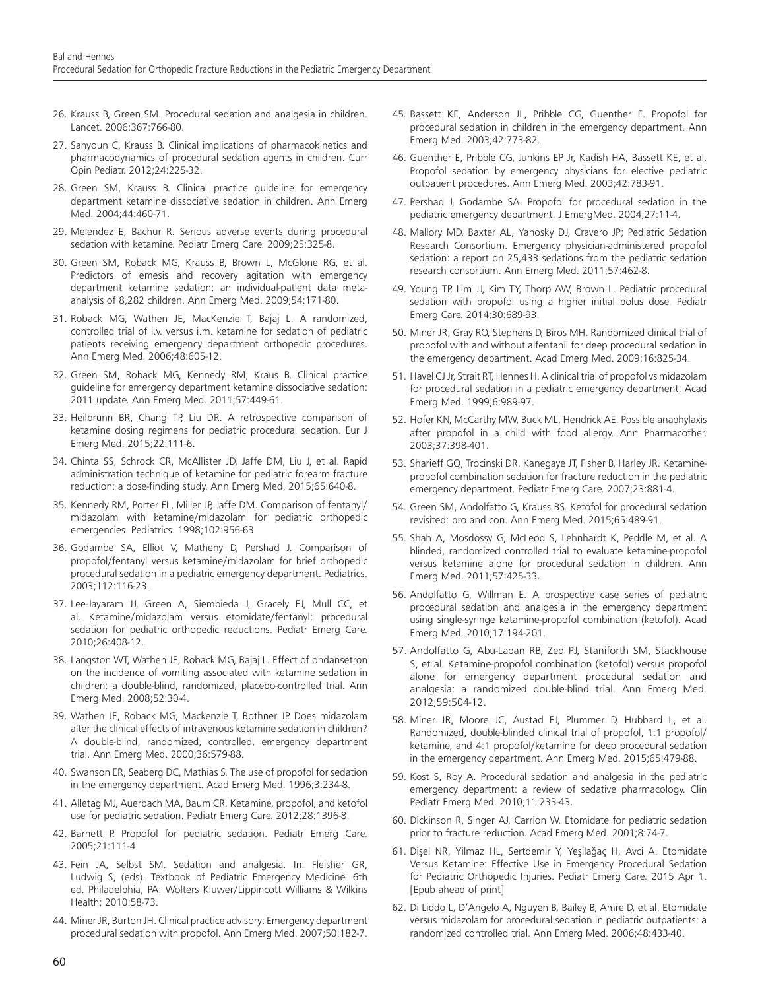- 26. Krauss B, Green SM. Procedural sedation and analgesia in children. Lancet. 2006;367:766-80.
- 27. Sahyoun C, Krauss B. Clinical implications of pharmacokinetics and pharmacodynamics of procedural sedation agents in children. Curr Opin Pediatr. 2012;24:225-32.
- 28. Green SM, Krauss B. Clinical practice guideline for emergency department ketamine dissociative sedation in children. Ann Emerg Med. 2004;44:460-71.
- 29. Melendez E, Bachur R. Serious adverse events during procedural sedation with ketamine. Pediatr Emerg Care. 2009;25:325-8.
- 30. Green SM, Roback MG, Krauss B, Brown L, McGlone RG, et al. Predictors of emesis and recovery agitation with emergency department ketamine sedation: an individual-patient data metaanalysis of 8,282 children. Ann Emerg Med. 2009;54:171-80.
- 31. Roback MG, Wathen JE, MacKenzie T, Bajaj L. A randomized, controlled trial of i.v. versus i.m. ketamine for sedation of pediatric patients receiving emergency department orthopedic procedures. Ann Emerg Med. 2006;48:605-12.
- 32. Green SM, Roback MG, Kennedy RM, Kraus B. Clinical practice guideline for emergency department ketamine dissociative sedation: 2011 update. Ann Emerg Med. 2011;57:449-61.
- 33. Heilbrunn BR, Chang TP, Liu DR. A retrospective comparison of ketamine dosing regimens for pediatric procedural sedation. Eur J Emerg Med. 2015;22:111-6.
- 34. Chinta SS, Schrock CR, McAllister JD, Jaffe DM, Liu J, et al. Rapid administration technique of ketamine for pediatric forearm fracture reduction: a dose-finding study. Ann Emerg Med. 2015;65:640-8.
- 35. Kennedy RM, Porter FL, Miller JP, Jaffe DM. Comparison of fentanyl/ midazolam with ketamine/midazolam for pediatric orthopedic emergencies. Pediatrics. 1998;102:956-63
- 36. Godambe SA, Elliot V, Matheny D, Pershad J. Comparison of propofol/fentanyl versus ketamine/midazolam for brief orthopedic procedural sedation in a pediatric emergency department. Pediatrics. 2003;112:116-23.
- 37. Lee-Jayaram JJ, Green A, Siembieda J, Gracely EJ, Mull CC, et al. Ketamine/midazolam versus etomidate/fentanyl: procedural sedation for pediatric orthopedic reductions. Pediatr Emerg Care. 2010;26:408-12.
- 38. Langston WT, Wathen JE, Roback MG, Bajaj L. Effect of ondansetron on the incidence of vomiting associated with ketamine sedation in children: a double-blind, randomized, placebo-controlled trial. Ann Emerg Med. 2008;52:30-4.
- 39. Wathen JE, Roback MG, Mackenzie T, Bothner JP. Does midazolam alter the clinical effects of intravenous ketamine sedation in children? A double-blind, randomized, controlled, emergency department trial. Ann Emerg Med. 2000;36:579-88.
- 40. Swanson ER, Seaberg DC, Mathias S. The use of propofol for sedation in the emergency department. Acad Emerg Med. 1996;3:234-8.
- 41. Alletag MJ, Auerbach MA, Baum CR. Ketamine, propofol, and ketofol use for pediatric sedation. Pediatr Emerg Care. 2012;28:1396-8.
- 42. Barnett P. Propofol for pediatric sedation. Pediatr Emerg Care. 2005;21:111-4.
- 43. Fein JA, Selbst SM. Sedation and analgesia. In: Fleisher GR, Ludwig S, (eds). Textbook of Pediatric Emergency Medicine. 6th ed. Philadelphia, PA: Wolters Kluwer/Lippincott Williams & Wilkins Health; 2010:58-73.
- 44. Miner JR, Burton JH. Clinical practice advisory: Emergency department procedural sedation with propofol. Ann Emerg Med. 2007;50:182-7.
- 45. Bassett KE, Anderson JL, Pribble CG, Guenther E. Propofol for procedural sedation in children in the emergency department. Ann Emerg Med. 2003;42:773-82.
- 46. Guenther E, Pribble CG, Junkins EP Jr, Kadish HA, Bassett KE, et al. Propofol sedation by emergency physicians for elective pediatric outpatient procedures. Ann Emerg Med. 2003;42:783-91.
- 47. Pershad J, Godambe SA. Propofol for procedural sedation in the pediatric emergency department. J EmergMed. 2004;27:11-4.
- 48. Mallory MD, Baxter AL, Yanosky DJ, Cravero JP; Pediatric Sedation Research Consortium. Emergency physician-administered propofol sedation: a report on 25,433 sedations from the pediatric sedation research consortium. Ann Emerg Med. 2011;57:462-8.
- 49. Young TP, Lim JJ, Kim TY, Thorp AW, Brown L. Pediatric procedural sedation with propofol using a higher initial bolus dose. Pediatr Emerg Care. 2014;30:689-93.
- 50. Miner JR, Gray RO, Stephens D, Biros MH. Randomized clinical trial of propofol with and without alfentanil for deep procedural sedation in the emergency department. Acad Emerg Med. 2009;16:825-34.
- 51. Havel CJ Jr, Strait RT, Hennes H. A clinical trial of propofol vs midazolam for procedural sedation in a pediatric emergency department. Acad Emerg Med. 1999;6:989-97.
- 52. Hofer KN, McCarthy MW, Buck ML, Hendrick AE. Possible anaphylaxis after propofol in a child with food allergy. Ann Pharmacother. 2003;37:398-401.
- 53. Sharieff GQ, Trocinski DR, Kanegaye JT, Fisher B, Harley JR. Ketaminepropofol combination sedation for fracture reduction in the pediatric emergency department. Pediatr Emerg Care. 2007;23:881-4.
- 54. Green SM, Andolfatto G, Krauss BS. Ketofol for procedural sedation revisited: pro and con. Ann Emerg Med. 2015;65:489-91.
- 55. Shah A, Mosdossy G, McLeod S, Lehnhardt K, Peddle M, et al. A blinded, randomized controlled trial to evaluate ketamine-propofol versus ketamine alone for procedural sedation in children. Ann Emerg Med. 2011;57:425-33.
- 56. Andolfatto G, Willman E. A prospective case series of pediatric procedural sedation and analgesia in the emergency department using single-syringe ketamine-propofol combination (ketofol). Acad Emerg Med. 2010;17:194-201.
- 57. Andolfatto G, Abu-Laban RB, Zed PJ, Staniforth SM, Stackhouse S, et al. Ketamine-propofol combination (ketofol) versus propofol alone for emergency department procedural sedation and analgesia: a randomized double-blind trial. Ann Emerg Med. 2012;59:504-12.
- 58. Miner JR, Moore JC, Austad EJ, Plummer D, Hubbard L, et al. Randomized, double-blinded clinical trial of propofol, 1:1 propofol/ ketamine, and 4:1 propofol/ketamine for deep procedural sedation in the emergency department. Ann Emerg Med. 2015;65:479-88.
- 59. Kost S, Roy A. Procedural sedation and analgesia in the pediatric emergency department: a review of sedative pharmacology. Clin Pediatr Emerg Med. 2010;11:233-43.
- 60. Dickinson R, Singer AJ, Carrion W. Etomidate for pediatric sedation prior to fracture reduction. Acad Emerg Med. 2001;8:74-7.
- 61. Dişel NR, Yilmaz HL, Sertdemir Y, Yeşilağaç H, Avci A. Etomidate Versus Ketamine: Effective Use in Emergency Procedural Sedation for Pediatric Orthopedic Injuries. Pediatr Emerg Care. 2015 Apr 1. [Epub ahead of print]
- 62. Di Liddo L, D'Angelo A, Nguyen B, Bailey B, Amre D, et al. Etomidate versus midazolam for procedural sedation in pediatric outpatients: a randomized controlled trial. Ann Emerg Med. 2006;48:433-40.